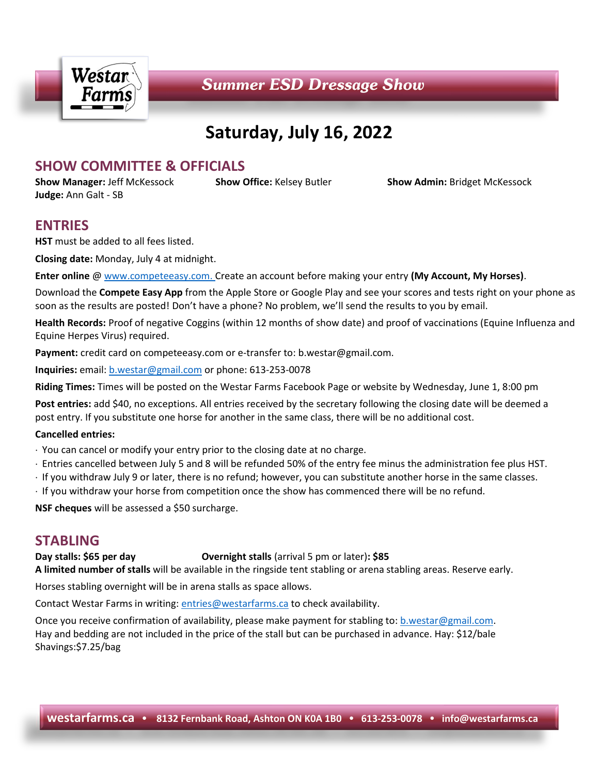

# **Saturday, July 16, 2022**

# **SHOW COMMITTEE & OFFICIALS**

**Judge:** Ann Galt - SB

**Show Manager:** Jeff McKessock **Show Office:** Kelsey Butler **Show Admin:** Bridget McKessock

# **ENTRIES**

**HST** must be added to all fees listed.

**Closing date:** Monday, July 4 at midnight.

**Enter online** [@ www.competeeasy.com.](http://www.competeeasy.com/) Create an account before making your entry **(My Account, My Horses)**.

Download the **Compete Easy App** from the Apple Store or Google Play and see your scores and tests right on your phone as soon as the results are posted! Don't have a phone? No problem, we'll send the results to you by email.

**Health Records:** Proof of negative Coggins (within 12 months of show date) and proof of vaccinations (Equine Influenza and Equine Herpes Virus) required.

**Payment:** credit card on competeeasy.com or e-transfer to: b.westar@gmail.com.

**Inquiries:** email[: b.westar@gmail.com](mailto:b.westar@gmail.com) or phone: 613-253-0078

**Riding Times:** Times will be posted on the Westar Farms Facebook Page or website by Wednesday, June 1, 8:00 pm

**Post entries:** add \$40, no exceptions. All entries received by the secretary following the closing date will be deemed a post entry. If you substitute one horse for another in the same class, there will be no additional cost.

### **Cancelled entries:**

- You can cancel or modify your entry prior to the closing date at no charge.
- Entries cancelled between July 5 and 8 will be refunded 50% of the entry fee minus the administration fee plus HST.
- If you withdraw July 9 or later, there is no refund; however, you can substitute another horse in the same classes.
- If you withdraw your horse from competition once the show has commenced there will be no refund.

**NSF cheques** will be assessed a \$50 surcharge.

# **STABLING**

### **Day stalls: \$65 per day Overnight stalls** (arrival 5 pm or later)**: \$85**

**A limited number of stalls** will be available in the ringside tent stabling or arena stabling areas. Reserve early.

Horses stabling overnight will be in arena stalls as space allows.

Contact Westar Farms in writing: [entries@westarfarms.ca](mailto:info@westarfarms.ca) to check availability.

Once you receive confirmation of availability, please make payment for stabling to: [b.westar@gmail.com.](mailto:b.westar@gmail.com) Hay and bedding are not included in the price of the stall but can be purchased in advance. Hay: \$12/bale Shavings:\$7.25/bag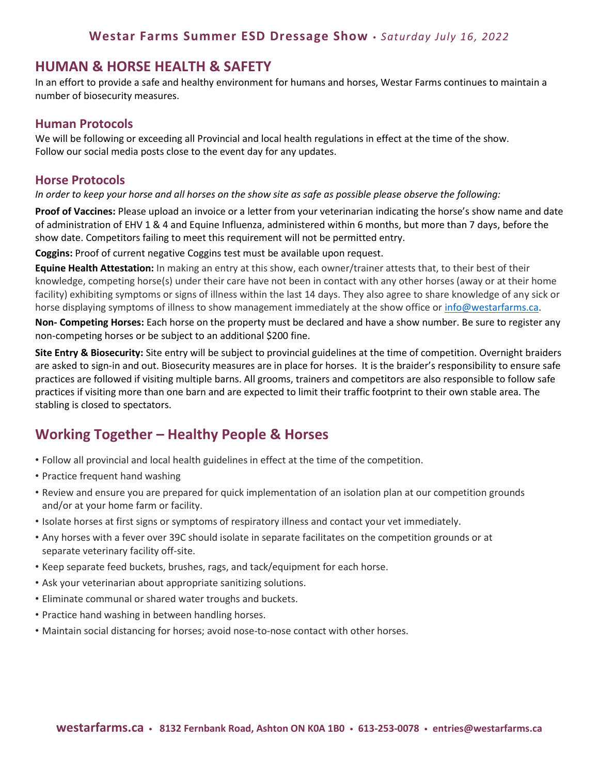# **HUMAN & HORSE HEALTH & SAFETY**

In an effort to provide a safe and healthy environment for humans and horses, Westar Farms continues to maintain a number of biosecurity measures.

### **Human Protocols**

We will be following or exceeding all Provincial and local health regulations in effect at the time of the show. Follow our social media posts close to the event day for any updates.

### **Horse Protocols**

*In order to keep your horse and all horses on the show site as safe as possible please observe the following:*

**Proof of Vaccines:** Please upload an invoice or a letter from your veterinarian indicating the horse's show name and date of administration of EHV 1 & 4 and Equine Influenza, administered within 6 months, but more than 7 days, before the show date. Competitors failing to meet this requirement will not be permitted entry.

**Coggins:** Proof of current negative Coggins test must be available upon request.

**Equine Health Attestation:** In making an entry at this show, each owner/trainer attests that, to their best of their knowledge, competing horse(s) under their care have not been in contact with any other horses (away or at their home facility) exhibiting symptoms or signs of illness within the last 14 days. They also agree to share knowledge of any sick or horse displaying symptoms of illness to show management immediately at the show office o[r info@westarfarms.ca.](mailto:info@westarfarms.ca)

**Non- Competing Horses:** Each horse on the property must be declared and have a show number. Be sure to register any non-competing horses or be subject to an additional \$200 fine.

**Site Entry & Biosecurity:** Site entry will be subject to provincial guidelines at the time of competition. Overnight braiders are asked to sign-in and out. Biosecurity measures are in place for horses. It is the braider's responsibility to ensure safe practices are followed if visiting multiple barns. All grooms, trainers and competitors are also responsible to follow safe practices if visiting more than one barn and are expected to limit their traffic footprint to their own stable area. The stabling is closed to spectators.

# **Working Together – Healthy People & Horses**

- Follow all provincial and local health guidelines in effect at the time of the competition.
- Practice frequent hand washing
- Review and ensure you are prepared for quick implementation of an isolation plan at our competition grounds and/or at your home farm or facility.
- Isolate horses at first signs or symptoms of respiratory illness and contact your vet immediately.
- Any horses with a fever over 39C should isolate in separate facilitates on the competition grounds or at separate veterinary facility off-site.
- Keep separate feed buckets, brushes, rags, and tack/equipment for each horse.
- Ask your veterinarian about appropriate sanitizing solutions.
- Eliminate communal or shared water troughs and buckets.
- Practice hand washing in between handling horses.
- Maintain social distancing for horses; avoid nose-to-nose contact with other horses.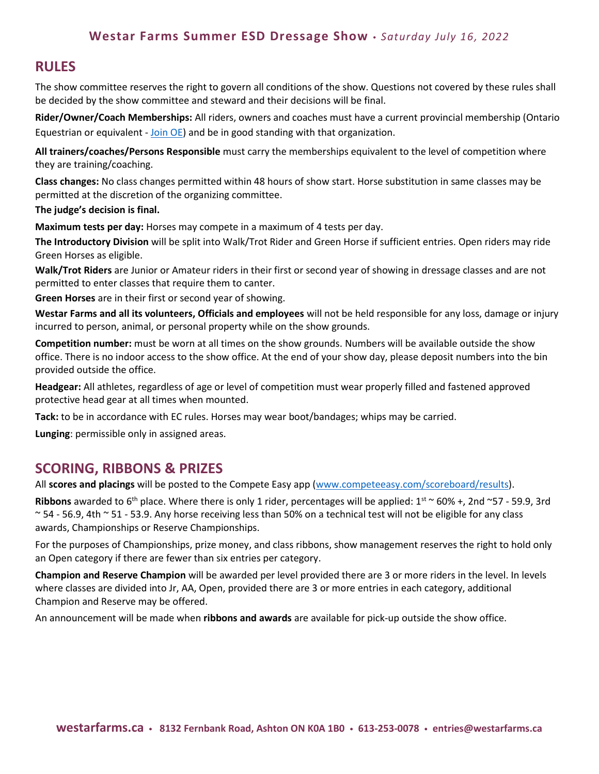### **Westar Farms Summer ESD Dressage Show** *Saturday July 16, 2022*

# **RULES**

The show committee reserves the right to govern all conditions of the show. Questions not covered by these rules shall be decided by the show committee and steward and their decisions will be final.

**Rider/Owner/Coach Memberships:** All riders, owners and coaches must have a current provincial membership (Ontario Equestrian or equivalent - [Join OE\)](https://ontarioequestrian.ca/membership/) and be in good standing with that organization.

**All trainers/coaches/Persons Responsible** must carry the memberships equivalent to the level of competition where they are training/coaching.

**Class changes:** No class changes permitted within 48 hours of show start. Horse substitution in same classes may be permitted at the discretion of the organizing committee.

#### **The judge's decision is final.**

**Maximum tests per day:** Horses may compete in a maximum of 4 tests per day.

**The Introductory Division** will be split into Walk/Trot Rider and Green Horse if sufficient entries. Open riders may ride Green Horses as eligible.

**Walk/Trot Riders** are Junior or Amateur riders in their first or second year of showing in dressage classes and are not permitted to enter classes that require them to canter.

**Green Horses** are in their first or second year of showing.

**Westar Farms and all its volunteers, Officials and employees** will not be held responsible for any loss, damage or injury incurred to person, animal, or personal property while on the show grounds.

**Competition number:** must be worn at all times on the show grounds. Numbers will be available outside the show office. There is no indoor access to the show office. At the end of your show day, please deposit numbers into the bin provided outside the office.

**Headgear:** All athletes, regardless of age or level of competition must wear properly filled and fastened approved protective head gear at all times when mounted.

**Tack:** to be in accordance with EC rules. Horses may wear boot/bandages; whips may be carried.

**Lunging**: permissible only in assigned areas.

### **SCORING, RIBBONS & PRIZES**

All **scores and placings** will be posted to the Compete Easy app [\(www.competeeasy.com/scoreboard/results\)](http://www.competeeasy.com/scoreboard/results).

**Ribbons** awarded to 6<sup>th</sup> place. Where there is only 1 rider, percentages will be applied:  $1^{st} \approx 60\% + 2$ nd ~57 - 59.9, 3rd  $\sim$  54 - 56.9, 4th  $\sim$  51 - 53.9. Any horse receiving less than 50% on a technical test will not be eligible for any class awards, Championships or Reserve Championships.

For the purposes of Championships, prize money, and class ribbons, show management reserves the right to hold only an Open category if there are fewer than six entries per category.

**Champion and Reserve Champion** will be awarded per level provided there are 3 or more riders in the level. In levels where classes are divided into Jr, AA, Open, provided there are 3 or more entries in each category, additional Champion and Reserve may be offered.

An announcement will be made when **ribbons and awards** are available for pick-up outside the show office.